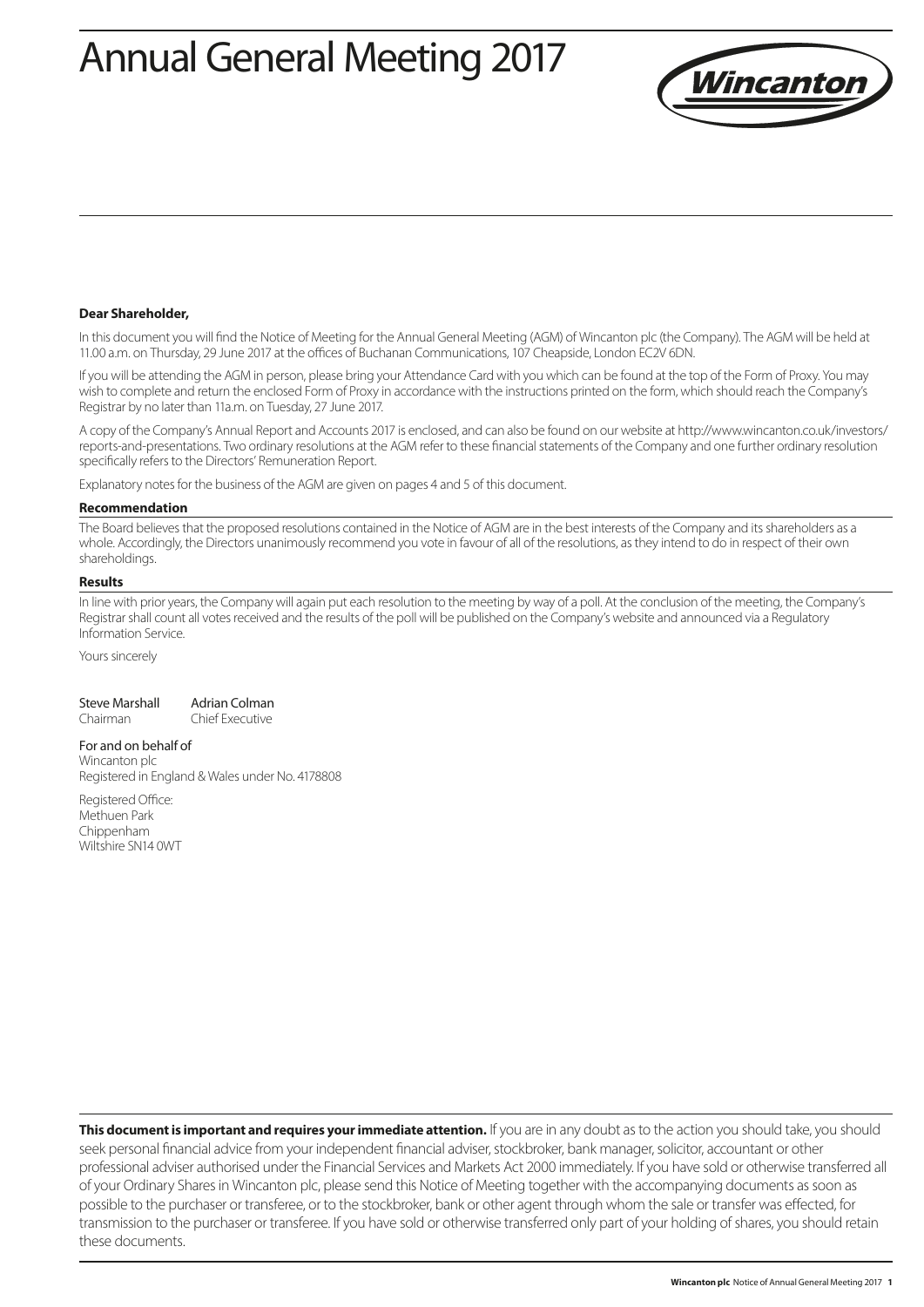# Annual General Meeting 2017



#### **Dear Shareholder,**

In this document you will find the Notice of Meeting for the Annual General Meeting (AGM) of Wincanton plc (the Company). The AGM will be held at 11.00 a.m. on Thursday, 29 June 2017 at the offices of Buchanan Communications, 107 Cheapside, London EC2V 6DN.

If you will be attending the AGM in person, please bring your Attendance Card with you which can be found at the top of the Form of Proxy. You may wish to complete and return the enclosed Form of Proxy in accordance with the instructions printed on the form, which should reach the Company's Registrar by no later than 11a.m. on Tuesday, 27 June 2017.

A copy of the Company's Annual Report and Accounts 2017 is enclosed, and can also be found on our website at http://www.wincanton.co.uk/investors/ reports-and-presentations. Two ordinary resolutions at the AGM refer to these financial statements of the Company and one further ordinary resolution specifically refers to the Directors' Remuneration Report.

Explanatory notes for the business of the AGM are given on pages 4 and 5 of this document.

#### **Recommendation**

The Board believes that the proposed resolutions contained in the Notice of AGM are in the best interests of the Company and its shareholders as a whole. Accordingly, the Directors unanimously recommend you vote in favour of all of the resolutions, as they intend to do in respect of their own shareholdings.

#### **Results**

In line with prior years, the Company will again put each resolution to the meeting by way of a poll. At the conclusion of the meeting, the Company's Registrar shall count all votes received and the results of the poll will be published on the Company's website and announced via a Regulatory Information Service.

Yours sincerely

| Steve Marshall | Adrian Colman |
|----------------|---------------|
|                |               |

Chairman Chief Executive

#### For and on behalf of

Wincanton plc Registered in England & Wales under No. 4178808

Registered Office: Methuen Park Chippenham Wiltshire SN14 0WT

**This document is important and requires your immediate attention.** If you are in any doubt as to the action you should take, you should seek personal financial advice from your independent financial adviser, stockbroker, bank manager, solicitor, accountant or other professional adviser authorised under the Financial Services and Markets Act 2000 immediately. If you have sold or otherwise transferred all of your Ordinary Shares in Wincanton plc, please send this Notice of Meeting together with the accompanying documents as soon as possible to the purchaser or transferee, or to the stockbroker, bank or other agent through whom the sale or transfer was effected, for transmission to the purchaser or transferee. If you have sold or otherwise transferred only part of your holding of shares, you should retain these documents.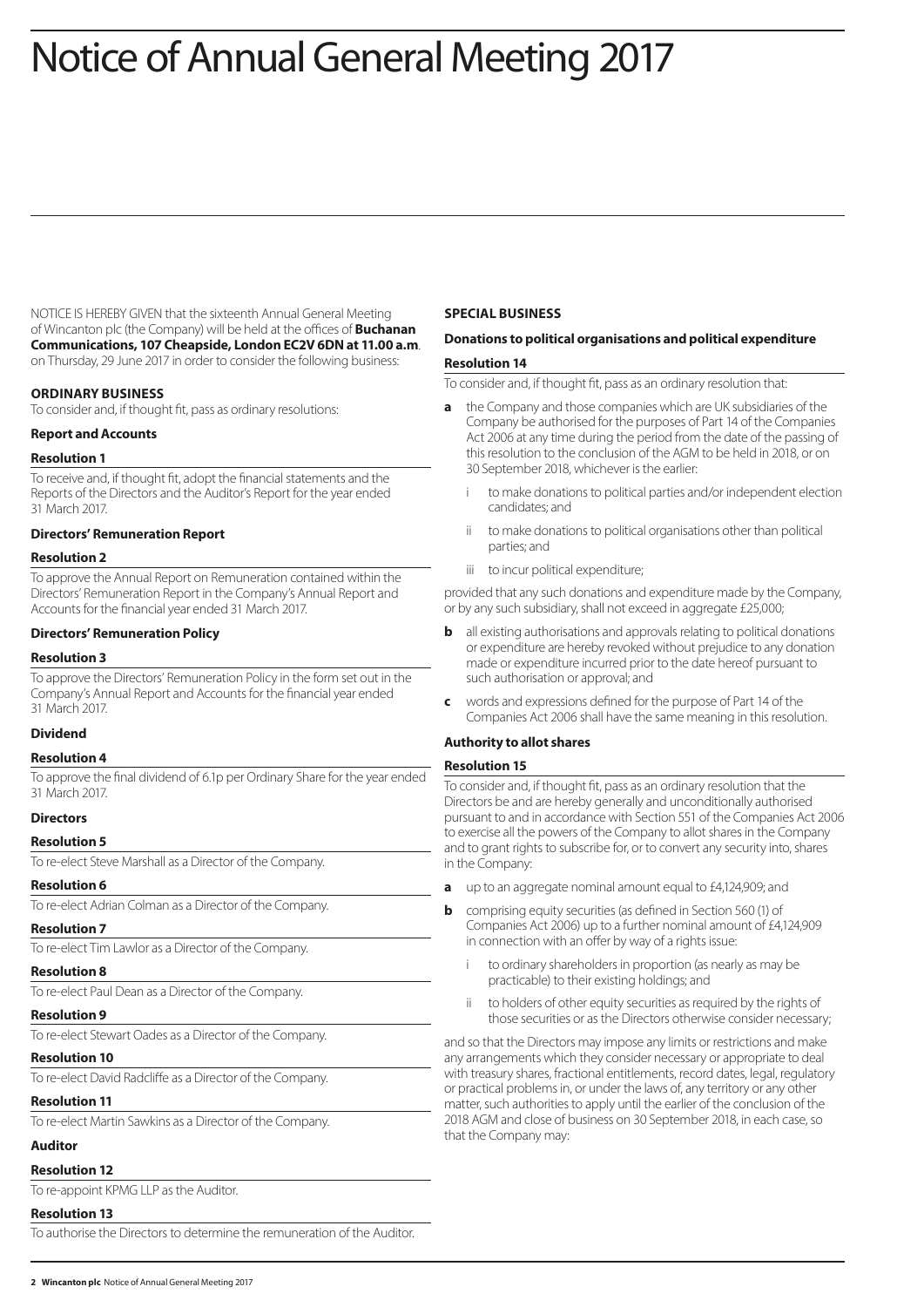# Notice of Annual General Meeting 2017

NOTICE IS HEREBY GIVEN that the sixteenth Annual General Meeting of Wincanton plc (the Company) will be held at the offices of **Buchanan Communications, 107 Cheapside, London EC2V 6DN at 11.00 a.m**. on Thursday, 29 June 2017 in order to consider the following business:

# **ORDINARY BUSINESS**

To consider and, if thought fit, pass as ordinary resolutions:

# **Report and Accounts**

#### **Resolution 1**

To receive and, if thought fit, adopt the financial statements and the Reports of the Directors and the Auditor's Report for the year ended 31 March 2017.

#### **Directors' Remuneration Report**

#### **Resolution 2**

To approve the Annual Report on Remuneration contained within the Directors' Remuneration Report in the Company's Annual Report and Accounts for the financial year ended 31 March 2017.

#### **Directors' Remuneration Policy**

#### **Resolution 3**

To approve the Directors' Remuneration Policy in the form set out in the Company's Annual Report and Accounts for the financial year ended 31 March 2017.

# **Dividend**

#### **Resolution 4**

To approve the final dividend of 6.1p per Ordinary Share for the year ended 31 March 2017.

#### **Directors**

#### **Resolution 5**

To re-elect Steve Marshall as a Director of the Company.

#### **Resolution 6**

To re-elect Adrian Colman as a Director of the Company.

#### **Resolution 7**

To re-elect Tim Lawlor as a Director of the Company.

# **Resolution 8**

To re-elect Paul Dean as a Director of the Company.

# **Resolution 9**

To re-elect Stewart Oades as a Director of the Company.

# **Resolution 10**

To re-elect David Radcliffe as a Director of the Company.

# **Resolution 11**

To re-elect Martin Sawkins as a Director of the Company.

# **Auditor**

# **Resolution 12**

To re-appoint KPMG LLP as the Auditor.

# **Resolution 13**

To authorise the Directors to determine the remuneration of the Auditor.

#### **SPECIAL BUSINESS**

# **Donations to political organisations and political expenditure**

# **Resolution 14**

To consider and, if thought fit, pass as an ordinary resolution that:

- **a** the Company and those companies which are UK subsidiaries of the Company be authorised for the purposes of Part 14 of the Companies Act 2006 at any time during the period from the date of the passing of this resolution to the conclusion of the AGM to be held in 2018, or on 30 September 2018, whichever is the earlier:
	- to make donations to political parties and/or independent election candidates; and
	- ii to make donations to political organisations other than political parties; and
	- iii to incur political expenditure;

provided that any such donations and expenditure made by the Company, or by any such subsidiary, shall not exceed in aggregate £25,000;

- **b** all existing authorisations and approvals relating to political donations or expenditure are hereby revoked without prejudice to any donation made or expenditure incurred prior to the date hereof pursuant to such authorisation or approval; and
- **c** words and expressions defined for the purpose of Part 14 of the Companies Act 2006 shall have the same meaning in this resolution.

# **Authority to allot shares**

# **Resolution 15**

To consider and, if thought fit, pass as an ordinary resolution that the Directors be and are hereby generally and unconditionally authorised pursuant to and in accordance with Section 551 of the Companies Act 2006 to exercise all the powers of the Company to allot shares in the Company and to grant rights to subscribe for, or to convert any security into, shares in the Company:

- **a** up to an aggregate nominal amount equal to £4,124,909; and
- **b** comprising equity securities (as defined in Section 560 (1) of Companies Act 2006) up to a further nominal amount of £4,124,909 in connection with an offer by way of a rights issue:
	- to ordinary shareholders in proportion (as nearly as may be practicable) to their existing holdings; and
	- ii to holders of other equity securities as required by the rights of those securities or as the Directors otherwise consider necessary;

and so that the Directors may impose any limits or restrictions and make any arrangements which they consider necessary or appropriate to deal with treasury shares, fractional entitlements, record dates, legal, regulatory or practical problems in, or under the laws of, any territory or any other matter, such authorities to apply until the earlier of the conclusion of the 2018 AGM and close of business on 30 September 2018, in each case, so that the Company may: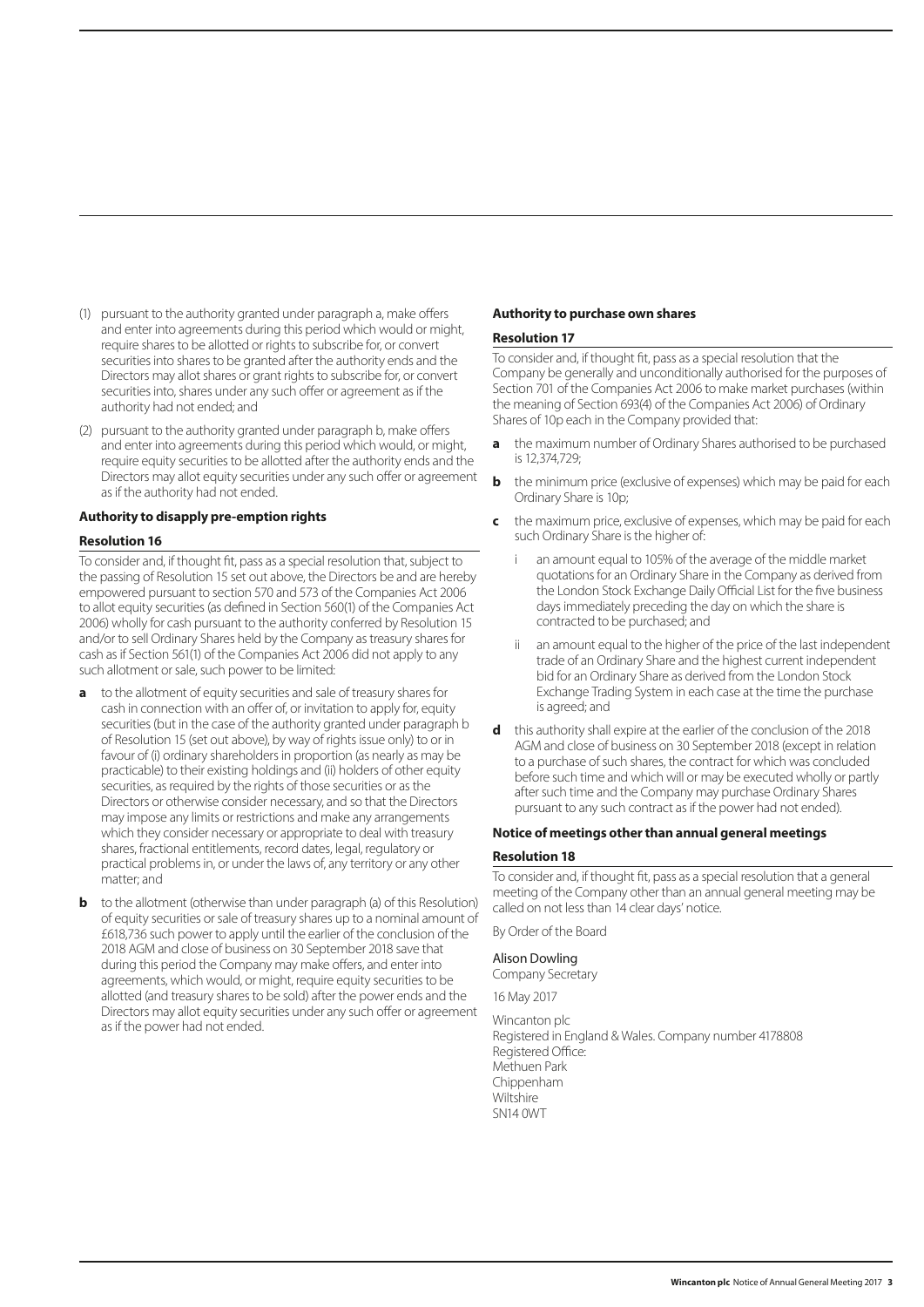- (1) pursuant to the authority granted under paragraph a, make offers and enter into agreements during this period which would or might, require shares to be allotted or rights to subscribe for, or convert securities into shares to be granted after the authority ends and the Directors may allot shares or grant rights to subscribe for, or convert securities into, shares under any such offer or agreement as if the authority had not ended; and
- (2) pursuant to the authority granted under paragraph b, make offers and enter into agreements during this period which would, or might, require equity securities to be allotted after the authority ends and the Directors may allot equity securities under any such offer or agreement as if the authority had not ended.

#### **Authority to disapply pre-emption rights**

#### **Resolution 16**

To consider and, if thought fit, pass as a special resolution that, subject to the passing of Resolution 15 set out above, the Directors be and are hereby empowered pursuant to section 570 and 573 of the Companies Act 2006 to allot equity securities (as defined in Section 560(1) of the Companies Act 2006) wholly for cash pursuant to the authority conferred by Resolution 15 and/or to sell Ordinary Shares held by the Company as treasury shares for cash as if Section 561(1) of the Companies Act 2006 did not apply to any such allotment or sale, such power to be limited:

- **a** to the allotment of equity securities and sale of treasury shares for cash in connection with an offer of, or invitation to apply for, equity securities (but in the case of the authority granted under paragraph b of Resolution 15 (set out above), by way of rights issue only) to or in favour of (i) ordinary shareholders in proportion (as nearly as may be practicable) to their existing holdings and (ii) holders of other equity securities, as required by the rights of those securities or as the Directors or otherwise consider necessary, and so that the Directors may impose any limits or restrictions and make any arrangements which they consider necessary or appropriate to deal with treasury shares, fractional entitlements, record dates, legal, regulatory or practical problems in, or under the laws of, any territory or any other matter; and
- **b** to the allotment (otherwise than under paragraph (a) of this Resolution) of equity securities or sale of treasury shares up to a nominal amount of £618,736 such power to apply until the earlier of the conclusion of the 2018 AGM and close of business on 30 September 2018 save that during this period the Company may make offers, and enter into agreements, which would, or might, require equity securities to be allotted (and treasury shares to be sold) after the power ends and the Directors may allot equity securities under any such offer or agreement as if the power had not ended.

# **Authority to purchase own shares**

#### **Resolution 17**

To consider and, if thought fit, pass as a special resolution that the Company be generally and unconditionally authorised for the purposes of Section 701 of the Companies Act 2006 to make market purchases (within the meaning of Section 693(4) of the Companies Act 2006) of Ordinary Shares of 10p each in the Company provided that:

- **a** the maximum number of Ordinary Shares authorised to be purchased is 12,374,729;
- **b** the minimum price (exclusive of expenses) which may be paid for each Ordinary Share is 10p;
- **c** the maximum price, exclusive of expenses, which may be paid for each such Ordinary Share is the higher of:
	- an amount equal to 105% of the average of the middle market quotations for an Ordinary Share in the Company as derived from the London Stock Exchange Daily Official List for the five business days immediately preceding the day on which the share is contracted to be purchased; and
	- an amount equal to the higher of the price of the last independent trade of an Ordinary Share and the highest current independent bid for an Ordinary Share as derived from the London Stock Exchange Trading System in each case at the time the purchase is agreed; and
- **d** this authority shall expire at the earlier of the conclusion of the 2018 AGM and close of business on 30 September 2018 (except in relation to a purchase of such shares, the contract for which was concluded before such time and which will or may be executed wholly or partly after such time and the Company may purchase Ordinary Shares pursuant to any such contract as if the power had not ended).

# **Notice of meetings other than annual general meetings**

#### **Resolution 18**

To consider and, if thought fit, pass as a special resolution that a general meeting of the Company other than an annual general meeting may be called on not less than 14 clear days' notice.

By Order of the Board

#### Alison Dowling

Company Secretary

16 May 2017

Wincanton plc Registered in England & Wales. Company number 4178808 Registered Office: Methuen Park Chippenham Wiltshire SN14 0WT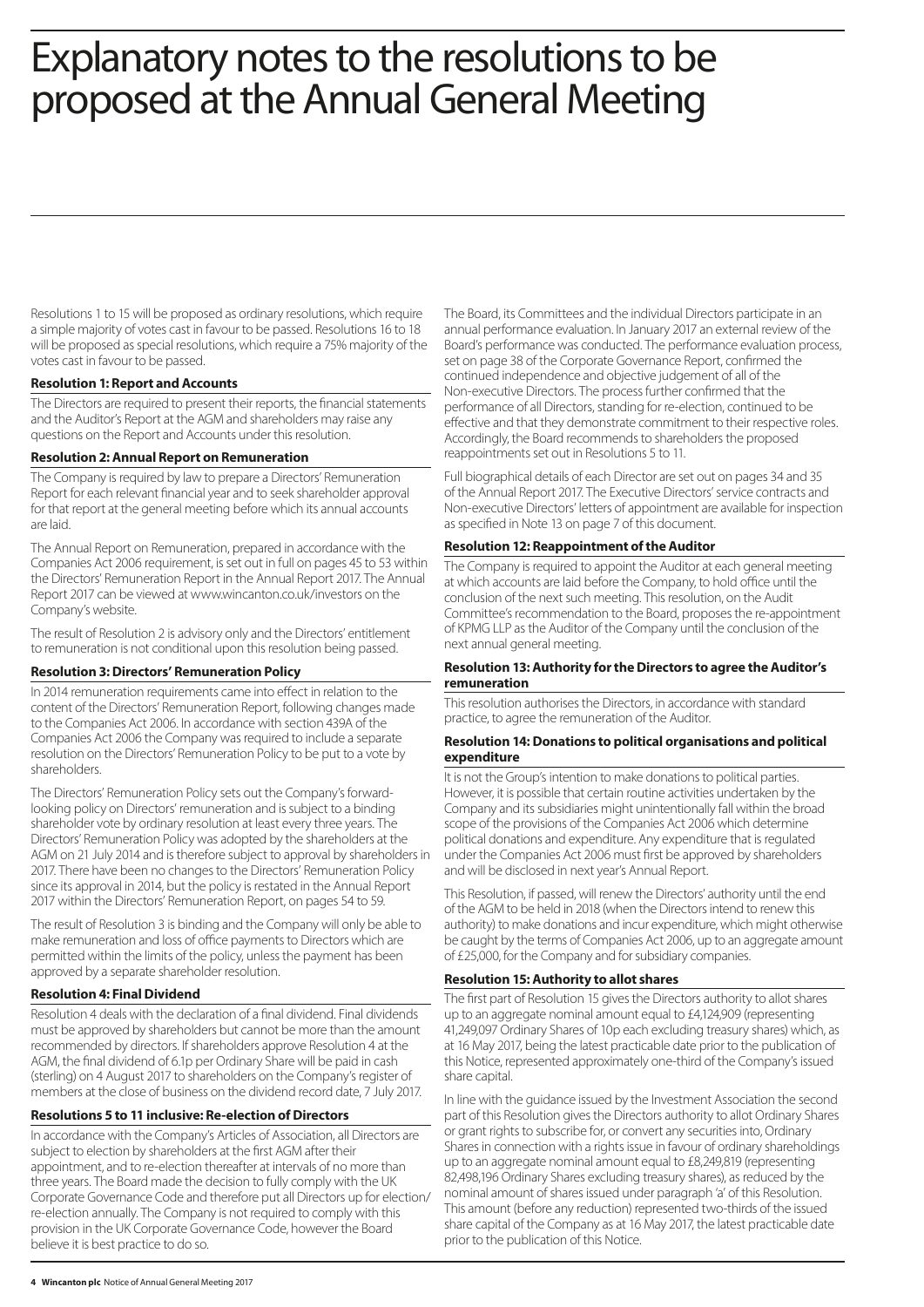# Explanatory notes to the resolutions to be proposed at the Annual General Meeting

Resolutions 1 to 15 will be proposed as ordinary resolutions, which require a simple majority of votes cast in favour to be passed. Resolutions 16 to 18 will be proposed as special resolutions, which require a 75% majority of the votes cast in favour to be passed.

# **Resolution 1: Report and Accounts**

The Directors are required to present their reports, the financial statements and the Auditor's Report at the AGM and shareholders may raise any questions on the Report and Accounts under this resolution.

# **Resolution 2: Annual Report on Remuneration**

The Company is required by law to prepare a Directors' Remuneration Report for each relevant financial year and to seek shareholder approval for that report at the general meeting before which its annual accounts are laid.

The Annual Report on Remuneration, prepared in accordance with the Companies Act 2006 requirement, is set out in full on pages 45 to 53 within the Directors' Remuneration Report in the Annual Report 2017. The Annual Report 2017 can be viewed at www.wincanton.co.uk/investors on the Company's website.

The result of Resolution 2 is advisory only and the Directors' entitlement to remuneration is not conditional upon this resolution being passed.

# **Resolution 3: Directors' Remuneration Policy**

In 2014 remuneration requirements came into effect in relation to the content of the Directors' Remuneration Report, following changes made to the Companies Act 2006. In accordance with section 439A of the Companies Act 2006 the Company was required to include a separate resolution on the Directors' Remuneration Policy to be put to a vote by shareholders.

The Directors' Remuneration Policy sets out the Company's forwardlooking policy on Directors' remuneration and is subject to a binding shareholder vote by ordinary resolution at least every three years. The Directors' Remuneration Policy was adopted by the shareholders at the AGM on 21 July 2014 and is therefore subject to approval by shareholders in 2017. There have been no changes to the Directors' Remuneration Policy since its approval in 2014, but the policy is restated in the Annual Report 2017 within the Directors' Remuneration Report, on pages 54 to 59.

The result of Resolution 3 is binding and the Company will only be able to make remuneration and loss of office payments to Directors which are permitted within the limits of the policy, unless the payment has been approved by a separate shareholder resolution.

# **Resolution 4: Final Dividend**

Resolution 4 deals with the declaration of a final dividend. Final dividends must be approved by shareholders but cannot be more than the amount recommended by directors. If shareholders approve Resolution 4 at the AGM, the final dividend of 6.1p per Ordinary Share will be paid in cash (sterling) on 4 August 2017 to shareholders on the Company's register of members at the close of business on the dividend record date, 7 July 2017.

# **Resolutions 5 to 11 inclusive: Re-election of Directors**

In accordance with the Company's Articles of Association, all Directors are subject to election by shareholders at the first AGM after their appointment, and to re-election thereafter at intervals of no more than three years. The Board made the decision to fully comply with the UK Corporate Governance Code and therefore put all Directors up for election/ re-election annually. The Company is not required to comply with this provision in the UK Corporate Governance Code, however the Board believe it is best practice to do so.

The Board, its Committees and the individual Directors participate in an annual performance evaluation. In January 2017 an external review of the Board's performance was conducted. The performance evaluation process, set on page 38 of the Corporate Governance Report, confirmed the continued independence and objective judgement of all of the Non-executive Directors. The process further confirmed that the performance of all Directors, standing for re-election, continued to be effective and that they demonstrate commitment to their respective roles. Accordingly, the Board recommends to shareholders the proposed reappointments set out in Resolutions 5 to 11.

Full biographical details of each Director are set out on pages 34 and 35 of the Annual Report 2017. The Executive Directors' service contracts and Non-executive Directors' letters of appointment are available for inspection as specified in Note 13 on page 7 of this document.

# **Resolution 12: Reappointment of the Auditor**

The Company is required to appoint the Auditor at each general meeting at which accounts are laid before the Company, to hold office until the conclusion of the next such meeting. This resolution, on the Audit Committee's recommendation to the Board, proposes the re-appointment of KPMG LLP as the Auditor of the Company until the conclusion of the next annual general meeting.

# **Resolution 13: Authority for the Directors to agree the Auditor's remuneration**

This resolution authorises the Directors, in accordance with standard practice, to agree the remuneration of the Auditor.

#### **Resolution 14: Donations to political organisations and political expenditure**

It is not the Group's intention to make donations to political parties. However, it is possible that certain routine activities undertaken by the Company and its subsidiaries might unintentionally fall within the broad scope of the provisions of the Companies Act 2006 which determine political donations and expenditure. Any expenditure that is regulated under the Companies Act 2006 must first be approved by shareholders and will be disclosed in next year's Annual Report.

This Resolution, if passed, will renew the Directors' authority until the end of the AGM to be held in 2018 (when the Directors intend to renew this authority) to make donations and incur expenditure, which might otherwise be caught by the terms of Companies Act 2006, up to an aggregate amount of £25,000, for the Company and for subsidiary companies.

# **Resolution 15: Authority to allot shares**

The first part of Resolution 15 gives the Directors authority to allot shares up to an aggregate nominal amount equal to £4,124,909 (representing 41,249,097 Ordinary Shares of 10p each excluding treasury shares) which, as at 16 May 2017, being the latest practicable date prior to the publication of this Notice, represented approximately one-third of the Company's issued share capital.

In line with the guidance issued by the Investment Association the second part of this Resolution gives the Directors authority to allot Ordinary Shares or grant rights to subscribe for, or convert any securities into, Ordinary Shares in connection with a rights issue in favour of ordinary shareholdings up to an aggregate nominal amount equal to £8,249,819 (representing 82,498,196 Ordinary Shares excluding treasury shares), as reduced by the nominal amount of shares issued under paragraph 'a' of this Resolution. This amount (before any reduction) represented two-thirds of the issued share capital of the Company as at 16 May 2017, the latest practicable date prior to the publication of this Notice.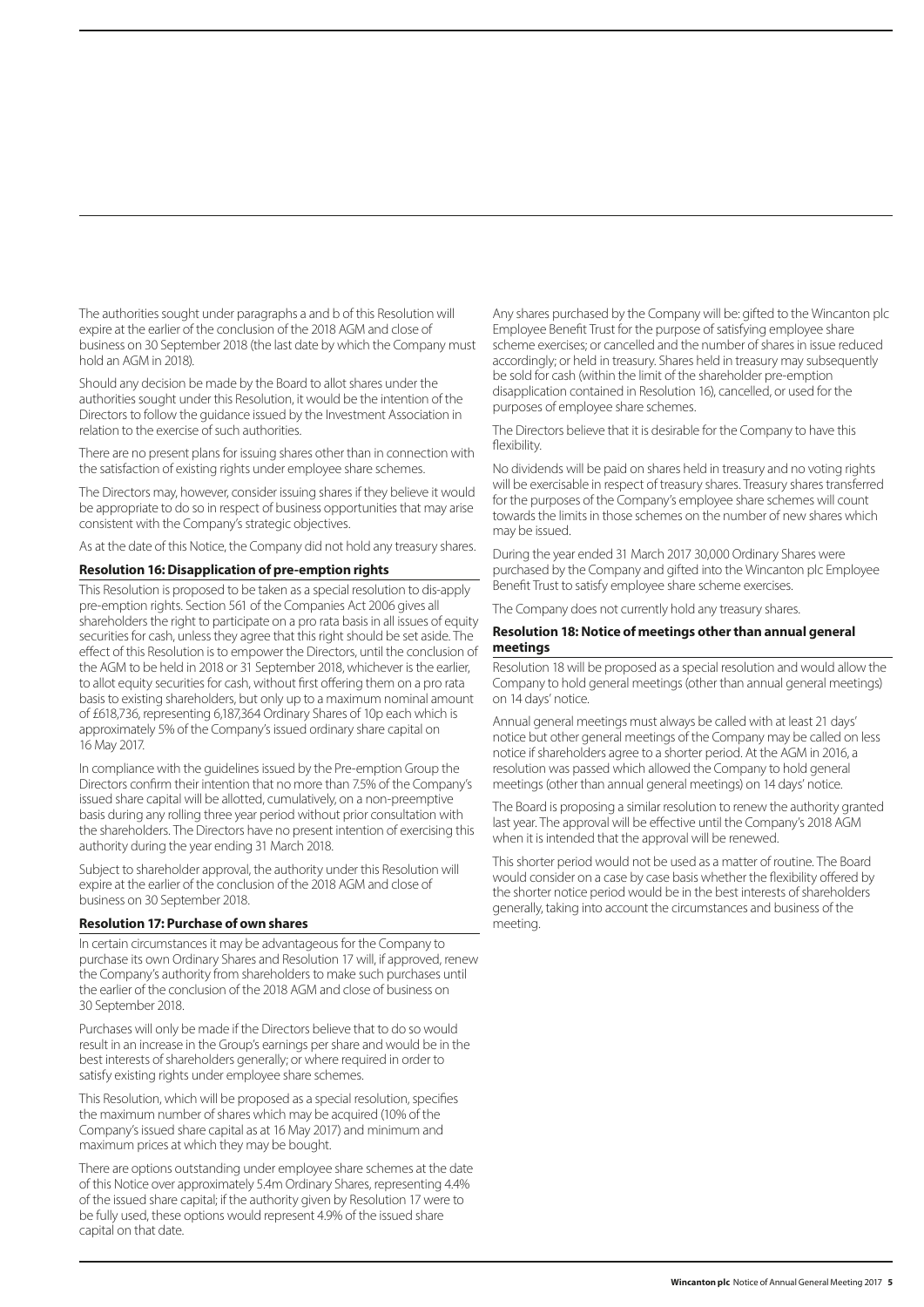The authorities sought under paragraphs a and b of this Resolution will expire at the earlier of the conclusion of the 2018 AGM and close of business on 30 September 2018 (the last date by which the Company must hold an AGM in 2018).

Should any decision be made by the Board to allot shares under the authorities sought under this Resolution, it would be the intention of the Directors to follow the guidance issued by the Investment Association in relation to the exercise of such authorities.

There are no present plans for issuing shares other than in connection with the satisfaction of existing rights under employee share schemes.

The Directors may, however, consider issuing shares if they believe it would be appropriate to do so in respect of business opportunities that may arise consistent with the Company's strategic objectives.

As at the date of this Notice, the Company did not hold any treasury shares.

#### **Resolution 16: Disapplication of pre-emption rights**

This Resolution is proposed to be taken as a special resolution to dis-apply pre-emption rights. Section 561 of the Companies Act 2006 gives all shareholders the right to participate on a pro rata basis in all issues of equity securities for cash, unless they agree that this right should be set aside. The effect of this Resolution is to empower the Directors, until the conclusion of the AGM to be held in 2018 or 31 September 2018, whichever is the earlier, to allot equity securities for cash, without first offering them on a pro rata basis to existing shareholders, but only up to a maximum nominal amount of £618,736, representing 6,187,364 Ordinary Shares of 10p each which is approximately 5% of the Company's issued ordinary share capital on 16 May 2017.

In compliance with the guidelines issued by the Pre-emption Group the Directors confirm their intention that no more than 7.5% of the Company's issued share capital will be allotted, cumulatively, on a non-preemptive basis during any rolling three year period without prior consultation with the shareholders. The Directors have no present intention of exercising this authority during the year ending 31 March 2018.

Subject to shareholder approval, the authority under this Resolution will expire at the earlier of the conclusion of the 2018 AGM and close of business on 30 September 2018.

#### **Resolution 17: Purchase of own shares**

In certain circumstances it may be advantageous for the Company to purchase its own Ordinary Shares and Resolution 17 will, if approved, renew the Company's authority from shareholders to make such purchases until the earlier of the conclusion of the 2018 AGM and close of business on 30 September 2018.

Purchases will only be made if the Directors believe that to do so would result in an increase in the Group's earnings per share and would be in the best interests of shareholders generally; or where required in order to satisfy existing rights under employee share schemes.

This Resolution, which will be proposed as a special resolution, specifies the maximum number of shares which may be acquired (10% of the Company's issued share capital as at 16 May 2017) and minimum and maximum prices at which they may be bought.

There are options outstanding under employee share schemes at the date of this Notice over approximately 5.4m Ordinary Shares, representing 4.4% of the issued share capital; if the authority given by Resolution 17 were to be fully used, these options would represent 4.9% of the issued share capital on that date.

Any shares purchased by the Company will be: gifted to the Wincanton plc Employee Benefit Trust for the purpose of satisfying employee share scheme exercises; or cancelled and the number of shares in issue reduced accordingly; or held in treasury. Shares held in treasury may subsequently be sold for cash (within the limit of the shareholder pre-emption disapplication contained in Resolution 16), cancelled, or used for the purposes of employee share schemes.

The Directors believe that it is desirable for the Company to have this flexibility.

No dividends will be paid on shares held in treasury and no voting rights will be exercisable in respect of treasury shares. Treasury shares transferred for the purposes of the Company's employee share schemes will count towards the limits in those schemes on the number of new shares which may be issued.

During the year ended 31 March 2017 30,000 Ordinary Shares were purchased by the Company and gifted into the Wincanton plc Employee Benefit Trust to satisfy employee share scheme exercises.

The Company does not currently hold any treasury shares.

#### **Resolution 18: Notice of meetings other than annual general meetings**

Resolution 18 will be proposed as a special resolution and would allow the Company to hold general meetings (other than annual general meetings) on 14 days' notice.

Annual general meetings must always be called with at least 21 days' notice but other general meetings of the Company may be called on less notice if shareholders agree to a shorter period. At the AGM in 2016, a resolution was passed which allowed the Company to hold general meetings (other than annual general meetings) on 14 days' notice.

The Board is proposing a similar resolution to renew the authority granted last year. The approval will be effective until the Company's 2018 AGM when it is intended that the approval will be renewed.

This shorter period would not be used as a matter of routine. The Board would consider on a case by case basis whether the flexibility offered by the shorter notice period would be in the best interests of shareholders generally, taking into account the circumstances and business of the meeting.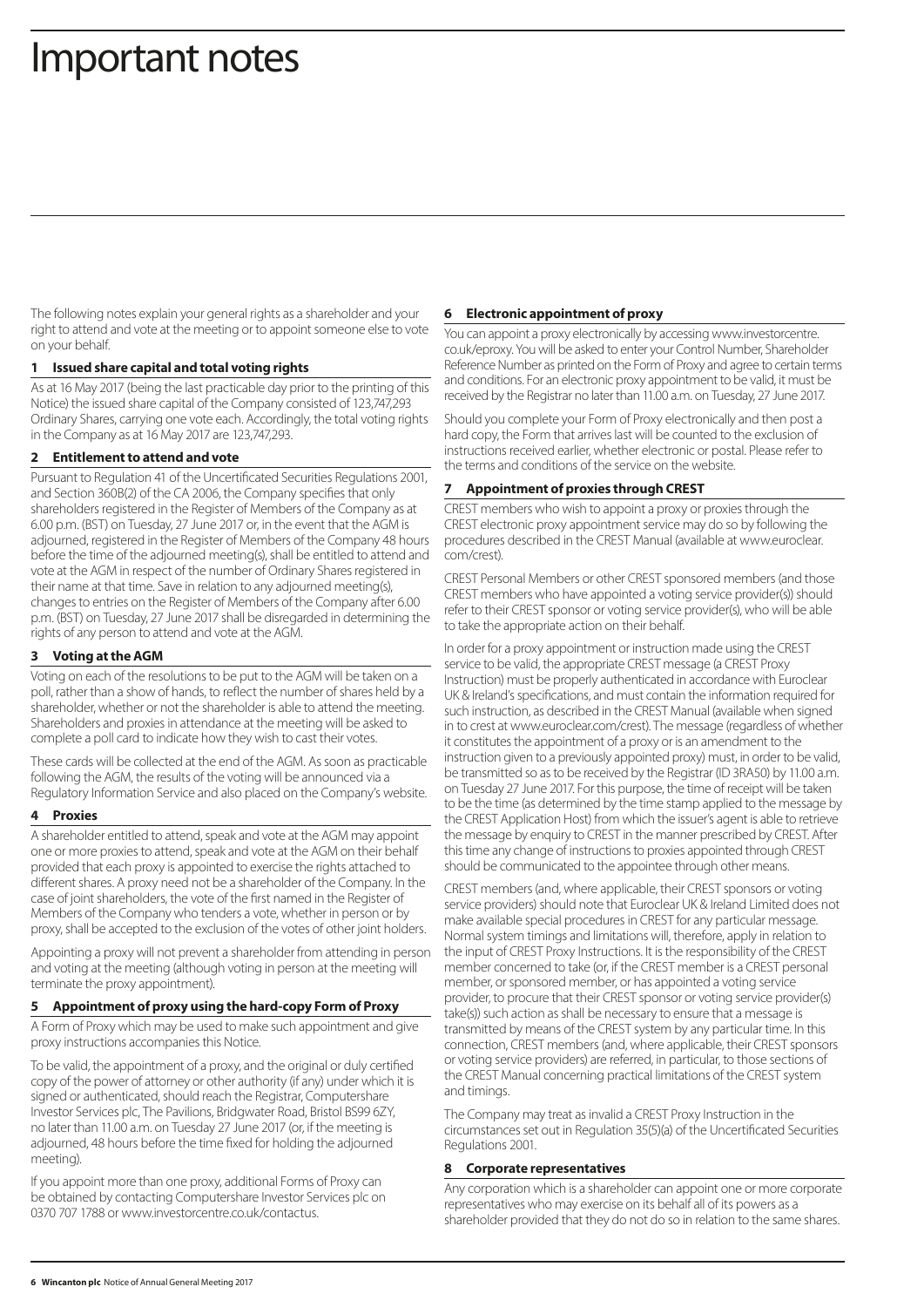# Important notes

The following notes explain your general rights as a shareholder and your right to attend and vote at the meeting or to appoint someone else to vote on your behalf.

# **1 Issued share capital and total voting rights**

As at 16 May 2017 (being the last practicable day prior to the printing of this Notice) the issued share capital of the Company consisted of 123,747,293 Ordinary Shares, carrying one vote each. Accordingly, the total voting rights in the Company as at 16 May 2017 are 123,747,293.

# **2 Entitlement to attend and vote**

Pursuant to Regulation 41 of the Uncertificated Securities Regulations 2001, and Section 360B(2) of the CA 2006, the Company specifies that only shareholders registered in the Register of Members of the Company as at 6.00 p.m. (BST) on Tuesday, 27 June 2017 or, in the event that the AGM is adjourned, registered in the Register of Members of the Company 48 hours before the time of the adjourned meeting(s), shall be entitled to attend and vote at the AGM in respect of the number of Ordinary Shares registered in their name at that time. Save in relation to any adjourned meeting(s), changes to entries on the Register of Members of the Company after 6.00 p.m. (BST) on Tuesday, 27 June 2017 shall be disregarded in determining the rights of any person to attend and vote at the AGM.

# **3 Voting at the AGM**

Voting on each of the resolutions to be put to the AGM will be taken on a poll, rather than a show of hands, to reflect the number of shares held by a shareholder, whether or not the shareholder is able to attend the meeting. Shareholders and proxies in attendance at the meeting will be asked to complete a poll card to indicate how they wish to cast their votes.

These cards will be collected at the end of the AGM. As soon as practicable following the AGM, the results of the voting will be announced via a Regulatory Information Service and also placed on the Company's website.

# **4 Proxies**

A shareholder entitled to attend, speak and vote at the AGM may appoint one or more proxies to attend, speak and vote at the AGM on their behalf provided that each proxy is appointed to exercise the rights attached to different shares. A proxy need not be a shareholder of the Company. In the case of joint shareholders, the vote of the first named in the Register of Members of the Company who tenders a vote, whether in person or by proxy, shall be accepted to the exclusion of the votes of other joint holders.

Appointing a proxy will not prevent a shareholder from attending in person and voting at the meeting (although voting in person at the meeting will terminate the proxy appointment).

# **5 Appointment of proxy using the hard-copy Form of Proxy**

A Form of Proxy which may be used to make such appointment and give proxy instructions accompanies this Notice.

To be valid, the appointment of a proxy, and the original or duly certified copy of the power of attorney or other authority (if any) under which it is signed or authenticated, should reach the Registrar, Computershare Investor Services plc, The Pavilions, Bridgwater Road, Bristol BS99 6ZY, no later than 11.00 a.m. on Tuesday 27 June 2017 (or, if the meeting is adjourned, 48 hours before the time fixed for holding the adjourned meeting).

If you appoint more than one proxy, additional Forms of Proxy can be obtained by contacting Computershare Investor Services plc on 0370 707 1788 or www.investorcentre.co.uk/contactus.

#### **6 Electronic appointment of proxy**

You can appoint a proxy electronically by accessing www.investorcentre. co.uk/eproxy. You will be asked to enter your Control Number, Shareholder Reference Number as printed on the Form of Proxy and agree to certain terms and conditions. For an electronic proxy appointment to be valid, it must be received by the Registrar no later than 11.00 a.m. on Tuesday, 27 June 2017.

Should you complete your Form of Proxy electronically and then post a hard copy, the Form that arrives last will be counted to the exclusion of instructions received earlier, whether electronic or postal. Please refer to the terms and conditions of the service on the website.

# **7 Appointment of proxies through CREST**

CREST members who wish to appoint a proxy or proxies through the CREST electronic proxy appointment service may do so by following the procedures described in the CREST Manual (available at www.euroclear. com/crest).

CREST Personal Members or other CREST sponsored members (and those CREST members who have appointed a voting service provider(s)) should refer to their CREST sponsor or voting service provider(s), who will be able to take the appropriate action on their behalf.

In order for a proxy appointment or instruction made using the CREST service to be valid, the appropriate CREST message (a CREST Proxy Instruction) must be properly authenticated in accordance with Euroclear UK & Ireland's specifications, and must contain the information required for such instruction, as described in the CREST Manual (available when signed in to crest at www.euroclear.com/crest). The message (regardless of whether it constitutes the appointment of a proxy or is an amendment to the instruction given to a previously appointed proxy) must, in order to be valid, be transmitted so as to be received by the Registrar (ID 3RA50) by 11.00 a.m. on Tuesday 27 June 2017. For this purpose, the time of receipt will be taken to be the time (as determined by the time stamp applied to the message by the CREST Application Host) from which the issuer's agent is able to retrieve the message by enquiry to CREST in the manner prescribed by CREST. After this time any change of instructions to proxies appointed through CREST should be communicated to the appointee through other means.

CREST members (and, where applicable, their CREST sponsors or voting service providers) should note that Euroclear UK & Ireland Limited does not make available special procedures in CREST for any particular message. Normal system timings and limitations will, therefore, apply in relation to the input of CREST Proxy Instructions. It is the responsibility of the CREST member concerned to take (or, if the CREST member is a CREST personal member, or sponsored member, or has appointed a voting service provider, to procure that their CREST sponsor or voting service provider(s) take(s)) such action as shall be necessary to ensure that a message is transmitted by means of the CREST system by any particular time. In this connection, CREST members (and, where applicable, their CREST sponsors or voting service providers) are referred, in particular, to those sections of the CREST Manual concerning practical limitations of the CREST system and timings.

The Company may treat as invalid a CREST Proxy Instruction in the circumstances set out in Regulation 35(5)(a) of the Uncertificated Securities Regulations 2001.

# **8 Corporate representatives**

Any corporation which is a shareholder can appoint one or more corporate representatives who may exercise on its behalf all of its powers as a shareholder provided that they do not do so in relation to the same shares.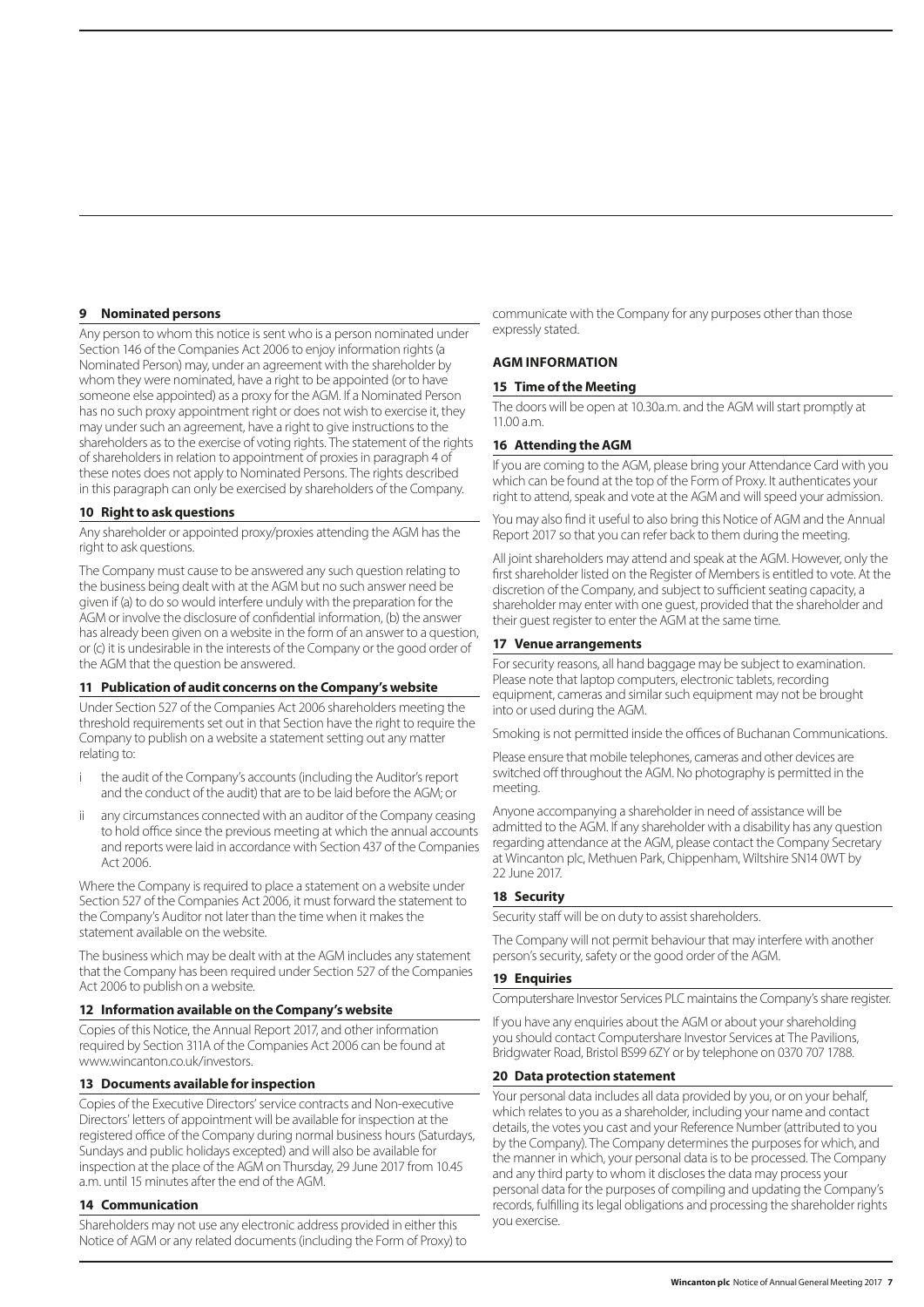#### **9 Nominated persons**

Any person to whom this notice is sent who is a person nominated under Section 146 of the Companies Act 2006 to enjoy information rights (a Nominated Person) may, under an agreement with the shareholder by whom they were nominated, have a right to be appointed (or to have someone else appointed) as a proxy for the AGM. If a Nominated Person has no such proxy appointment right or does not wish to exercise it, they may under such an agreement, have a right to give instructions to the shareholders as to the exercise of voting rights. The statement of the rights of shareholders in relation to appointment of proxies in paragraph 4 of these notes does not apply to Nominated Persons. The rights described in this paragraph can only be exercised by shareholders of the Company.

#### **10 Right to ask questions**

Any shareholder or appointed proxy/proxies attending the AGM has the right to ask questions.

The Company must cause to be answered any such question relating to the business being dealt with at the AGM but no such answer need be given if (a) to do so would interfere unduly with the preparation for the AGM or involve the disclosure of confidential information, (b) the answer has already been given on a website in the form of an answer to a question, or (c) it is undesirable in the interests of the Company or the good order of the AGM that the question be answered.

# **11 Publication of audit concerns on the Company's website**

Under Section 527 of the Companies Act 2006 shareholders meeting the threshold requirements set out in that Section have the right to require the Company to publish on a website a statement setting out any matter relating to:

- the audit of the Company's accounts (including the Auditor's report and the conduct of the audit) that are to be laid before the AGM; or
- any circumstances connected with an auditor of the Company ceasing to hold office since the previous meeting at which the annual accounts and reports were laid in accordance with Section 437 of the Companies Act 2006.

Where the Company is required to place a statement on a website under Section 527 of the Companies Act 2006, it must forward the statement to the Company's Auditor not later than the time when it makes the statement available on the website.

The business which may be dealt with at the AGM includes any statement that the Company has been required under Section 527 of the Companies Act 2006 to publish on a website.

# **12 Information available on the Company's website**

Copies of this Notice, the Annual Report 2017, and other information required by Section 311A of the Companies Act 2006 can be found at www.wincanton.co.uk/investors.

#### **13 Documents available for inspection**

Copies of the Executive Directors' service contracts and Non-executive Directors' letters of appointment will be available for inspection at the registered office of the Company during normal business hours (Saturdays, Sundays and public holidays excepted) and will also be available for inspection at the place of the AGM on Thursday, 29 June 2017 from 10.45 a.m. until 15 minutes after the end of the AGM.

#### **14 Communication**

Shareholders may not use any electronic address provided in either this Notice of AGM or any related documents (including the Form of Proxy) to communicate with the Company for any purposes other than those expressly stated.

# **AGM INFORMATION**

#### **15 Time of the Meeting**

The doors will be open at 10.30a.m. and the AGM will start promptly at 11.00 a.m.

#### **16 Attending the AGM**

If you are coming to the AGM, please bring your Attendance Card with you which can be found at the top of the Form of Proxy. It authenticates your right to attend, speak and vote at the AGM and will speed your admission.

You may also find it useful to also bring this Notice of AGM and the Annual Report 2017 so that you can refer back to them during the meeting.

All joint shareholders may attend and speak at the AGM. However, only the first shareholder listed on the Register of Members is entitled to vote. At the discretion of the Company, and subject to sufficient seating capacity, a shareholder may enter with one guest, provided that the shareholder and their guest register to enter the AGM at the same time.

#### **17 Venue arrangements**

For security reasons, all hand baggage may be subject to examination. Please note that laptop computers, electronic tablets, recording equipment, cameras and similar such equipment may not be brought into or used during the AGM.

Smoking is not permitted inside the offices of Buchanan Communications.

Please ensure that mobile telephones, cameras and other devices are switched off throughout the AGM. No photography is permitted in the meeting.

Anyone accompanying a shareholder in need of assistance will be admitted to the AGM. If any shareholder with a disability has any question regarding attendance at the AGM, please contact the Company Secretary at Wincanton plc, Methuen Park, Chippenham, Wiltshire SN14 0WT by 22 June 2017.

# **18 Security**

Security staff will be on duty to assist shareholders.

The Company will not permit behaviour that may interfere with another person's security, safety or the good order of the AGM.

#### **19 Enquiries**

Computershare Investor Services PLC maintains the Company's share register.

If you have any enquiries about the AGM or about your shareholding you should contact Computershare Investor Services at The Pavilions, Bridgwater Road, Bristol BS99 6ZY or by telephone on 0370 707 1788.

# **20 Data protection statement**

Your personal data includes all data provided by you, or on your behalf, which relates to you as a shareholder, including your name and contact details, the votes you cast and your Reference Number (attributed to you by the Company). The Company determines the purposes for which, and the manner in which, your personal data is to be processed. The Company and any third party to whom it discloses the data may process your personal data for the purposes of compiling and updating the Company's records, fulfilling its legal obligations and processing the shareholder rights you exercise.